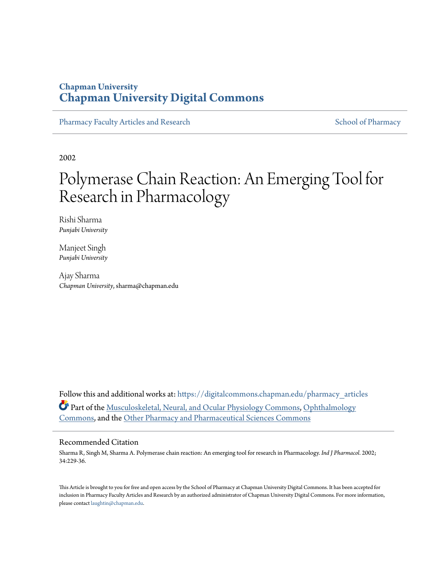# **Chapman University [Chapman University Digital Commons](https://digitalcommons.chapman.edu?utm_source=digitalcommons.chapman.edu%2Fpharmacy_articles%2F560&utm_medium=PDF&utm_campaign=PDFCoverPages)**

[Pharmacy Faculty Articles and Research](https://digitalcommons.chapman.edu/pharmacy_articles?utm_source=digitalcommons.chapman.edu%2Fpharmacy_articles%2F560&utm_medium=PDF&utm_campaign=PDFCoverPages) [School of Pharmacy](https://digitalcommons.chapman.edu/cusp?utm_source=digitalcommons.chapman.edu%2Fpharmacy_articles%2F560&utm_medium=PDF&utm_campaign=PDFCoverPages)

2002

# Polymerase Chain Reaction: An Emerging Tool for Research in Pharmacology

Rishi Sharma *Punjabi University*

Manjeet Singh *Punjabi University*

Ajay Sharma *Chapman University*, sharma@chapman.edu

Follow this and additional works at: [https://digitalcommons.chapman.edu/pharmacy\\_articles](https://digitalcommons.chapman.edu/pharmacy_articles?utm_source=digitalcommons.chapman.edu%2Fpharmacy_articles%2F560&utm_medium=PDF&utm_campaign=PDFCoverPages) Part of the [Musculoskeletal, Neural, and Ocular Physiology Commons,](http://network.bepress.com/hgg/discipline/964?utm_source=digitalcommons.chapman.edu%2Fpharmacy_articles%2F560&utm_medium=PDF&utm_campaign=PDFCoverPages) [Ophthalmology](http://network.bepress.com/hgg/discipline/695?utm_source=digitalcommons.chapman.edu%2Fpharmacy_articles%2F560&utm_medium=PDF&utm_campaign=PDFCoverPages) [Commons,](http://network.bepress.com/hgg/discipline/695?utm_source=digitalcommons.chapman.edu%2Fpharmacy_articles%2F560&utm_medium=PDF&utm_campaign=PDFCoverPages) and the [Other Pharmacy and Pharmaceutical Sciences Commons](http://network.bepress.com/hgg/discipline/737?utm_source=digitalcommons.chapman.edu%2Fpharmacy_articles%2F560&utm_medium=PDF&utm_campaign=PDFCoverPages)

## Recommended Citation

Sharma R, Singh M, Sharma A. Polymerase chain reaction: An emerging tool for research in Pharmacology. *Ind J Pharmacol*. 2002; 34:229-36.

This Article is brought to you for free and open access by the School of Pharmacy at Chapman University Digital Commons. It has been accepted for inclusion in Pharmacy Faculty Articles and Research by an authorized administrator of Chapman University Digital Commons. For more information, please contact [laughtin@chapman.edu.](mailto:laughtin@chapman.edu)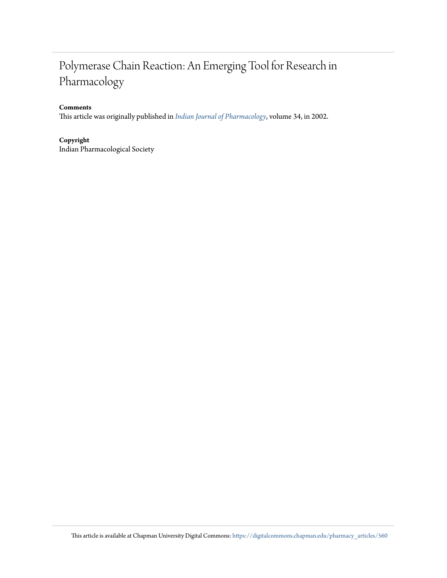# Polymerase Chain Reaction: An Emerging Tool for Research in Pharmacology

## **Comments**

This article was originally published in *[Indian Journal of Pharmacology](http://www.ijp-online.com/showBackIssue.asp?issn=0253-7613;year=2002;volume=34;issue=4;month=July-August)*, volume 34, in 2002.

### **Copyright**

Indian Pharmacological Society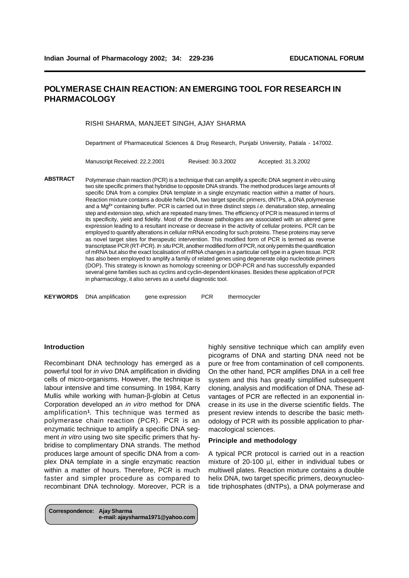## **POLYMERASE CHAIN REACTION: AN EMERGING TOOL FOR RESEARCH IN PHARMACOLOGY**

#### RISHI SHARMA, MANJEET SINGH, AJAY SHARMA

Department of Pharmaceutical Sciences & Drug Research, Punjabi University, Patiala - 147002.

Manuscript Received: 22.2.2001 Revised: 30.3.2002 Accepted: 31.3.2002

**APPLICATIONS OF PCR IN PHARMACOLOGY**

Polymerase chain reaction (PCR) is a technique that can amplify a specific DNA segment *in vitro* using two site specific primers that hybridise to opposite DNA strands. The method produces large amounts of specific DNA from a complex DNA template in a single enzymatic reaction within a matter of hours. Reaction mixture contains a double helix DNA, two target specific primers, dNTPs, a DNA polymerase and a Mg**2+** containing buffer. PCR is carried out in three distinct steps *i.e.* denaturation step, annealing step and extension step, which are repeated many times. The efficiency of PCR is measured in terms of its specificity, yield and fidelity. Most of the disease pathologies are associated with an altered gene expression leading to a resultant increase or decrease in the activity of cellular proteins. PCR can be employed to quantify alterations in cellular mRNA encoding for such proteins. These proteins may serve as novel target sites for therapeutic intervention. This modified form of PCR is termed as reverse transcriptase PCR (RT-PCR). *In situ* PCR, another modified form of PCR, not only permits the quantification of mRNA but also the exact localisation of mRNA changes in a particular cell type in a given tissue. PCR has also been employed to amplify a family of related genes using degenerate oligo nucleotide primers (DOP). This strategy is known as homology screening or DOP-PCR and has successfully expanded several gene families such as cyclins and cyclin-dependent kinases. Besides these application of PCR in pharmacology, it also serves as a useful diagnostic tool. **ABSTRACT**

**KEYWORDS** DNA amplification gene expression PCR thermocycler

#### **Introduction**

Recombinant DNA technology has emerged as a powerful tool for *in vivo* DNA amplification in dividing cells of micro-organisms. However, the technique is labour intensive and time consuming. In 1984, Karry Mullis while working with human-β-globin at Cetus Corporation developed an *in vitro* method for DNA amplification**<sup>1</sup>** . This technique was termed as polymerase chain reaction (PCR). PCR is an enzymatic technique to amplify a specific DNA segment *in vitro* using two site specific primers that hybridise to complimentary DNA strands. The method produces large amount of specific DNA from a complex DNA template in a single enzymatic reaction within a matter of hours. Therefore, PCR is much faster and simpler procedure as compared to recombinant DNA technology. Moreover, PCR is a

**Correspondence: Ajay Sharma e-mail: ajaysharma1971@yahoo.com** highly sensitive technique which can amplify even picograms of DNA and starting DNA need not be pure or free from contamination of cell components. On the other hand, PCR amplifies DNA in a cell free system and this has greatly simplified subsequent cloning, analysis and modification of DNA. These advantages of PCR are reflected in an exponential increase in its use in the diverse scientific fields. The present review intends to describe the basic methodology of PCR with its possible application to pharmacological sciences.

#### **Principle and methodology**

A typical PCR protocol is carried out in a reaction mixture of 20-100 µl, either in individual tubes or multiwell plates. Reaction mixture contains a double helix DNA, two target specific primers, deoxynucleotide triphosphates (dNTPs), a DNA polymerase and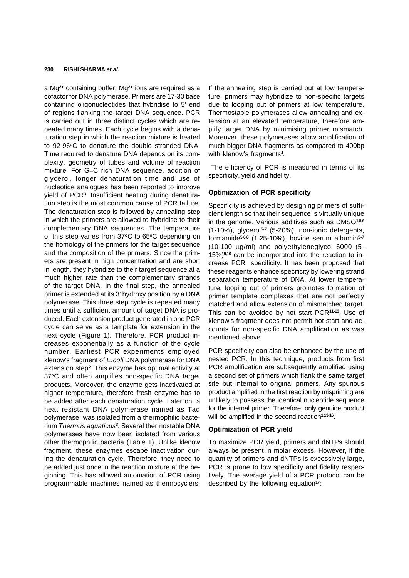a Mg**2+** containing buffer. Mg**2+** ions are required as a cofactor for DNA polymerase. Primers are 17-30 base containing oligonucleotides that hybridise to 5' end of regions flanking the target DNA sequence. PCR is carried out in three distinct cycles which are repeated many times. Each cycle begins with a denaturation step in which the reaction mixture is heated to 92-96**<sup>o</sup>**C to denature the double stranded DNA. Time required to denature DNA depends on its complexity, geometry of tubes and volume of reaction mixture. For G≡C rich DNA sequence, addition of glycerol, longer denaturation time and use of nucleotide analogues has been reported to improve yield of PCR**<sup>3</sup>** . Insufficient heating during denaturation step is the most common cause of PCR failure. The denaturation step is followed by annealing step in which the primers are allowed to hybridise to their complementary DNA sequences. The temperature of this step varies from 37**<sup>o</sup>**C to 65**<sup>o</sup>**C depending on the homology of the primers for the target sequence and the composition of the primers. Since the primers are present in high concentration and are short in length, they hybridize to their target sequence at a much higher rate than the complementary strands of the target DNA. In the final step, the annealed primer is extended at its 3' hydroxy position by a DNA polymerase. This three step cycle is repeated many times until a sufficient amount of target DNA is produced. Each extension product generated in one PCR cycle can serve as a template for extension in the next cycle (Figure 1). Therefore, PCR product increases exponentially as a function of the cycle number. Earliest PCR experiments employed klenow's fragment of *E.coli* DNA polymerase for DNA extension step**<sup>2</sup>** . This enzyme has optimal activity at 37**<sup>o</sup>**C and often amplifies non-specific DNA target products. Moreover, the enzyme gets inactivated at higher temperature, therefore fresh enzyme has to be added after each denaturation cycle. Later on, a heat resistant DNA polymerase named as Taq polymerase, was isolated from a thermophilic bacterium *Thermus aquaticus***<sup>3</sup>** . Several thermostable DNA polymerases have now been isolated from various other thermophilic bacteria (Table 1). Unlike klenow fragment, these enzymes escape inactivation during the denaturation cycle. Therefore, they need to be added just once in the reaction mixture at the beginning. This has allowed automation of PCR using programmable machines named as thermocyclers.

If the annealing step is carried out at low temperature, primers may hybridize to non-specific targets due to looping out of primers at low temperature. Thermostable polymerases allow annealing and extension at an elevated temperature, therefore amplify target DNA by minimising primer mismatch. Moreover, these polymerases allow amplification of much bigger DNA fragments as compared to 400bp with klenow's fragments**<sup>4</sup>** .

 The efficiency of PCR is measured in terms of its specificity, yield and fidelity.

#### **Optimization of PCR specificity**

Specificity is achieved by designing primers of sufficient length so that their sequence is virtually unique in the genome. Various additives such as DMSO**1,5,6** (1-10%), glycerol**5-7** (5-20%), non-ionic detergents, formamide**5,6,8** (1.25-10%), bovine serum albumin**5-7** (10-100 µg/ml) and polyethyleneglycol 6000 (5- 15%)**9,10** can be incorporated into the reaction to increase PCR specificity. It has been proposed that these reagents enhance specificity by lowering strand separation temperature of DNA. At lower temperature, looping out of primers promotes formation of primer template complexes that are not perfectly matched and allow extension of mismatched target. This can be avoided by hot start PCR**11-13**. Use of klenow's fragment does not permit hot start and accounts for non-specific DNA amplification as was mentioned above.

PCR specificity can also be enhanced by the use of nested PCR. In this technique, products from first PCR amplification are subsequently amplified using a second set of primers which flank the same target site but internal to original primers. Any spurious product amplified in the first reaction by mispriming are unlikely to possess the identical nucleotide sequence for the internal primer. Therefore, only genuine product will be amplified in the second reaction**1,13-16** .

#### **Optimization of PCR yield**

To maximize PCR yield, primers and dNTPs should always be present in molar excess. However, if the quantity of primers and dNTPs is excessively large, PCR is prone to low specificity and fidelity respectively. The average yield of a PCR protocol can be described by the following equation**<sup>17</sup>**: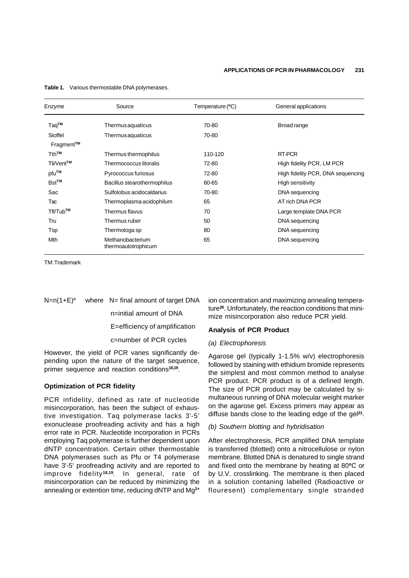| Enzyme                 | Source                                  | Temperature (°C) | General applications              |
|------------------------|-----------------------------------------|------------------|-----------------------------------|
| Taq <sup>™</sup>       | Thermusaquaticus                        | 70-80            | Broad range                       |
| Stoffel                | Thermusaquaticus                        | 70-80            |                                   |
| Fragment <sup>™</sup>  |                                         |                  |                                   |
| T <sub>th™</sub>       | Thermus thermophilus                    | 110-120          | RT-PCR                            |
| Tli/Vent <sup>™</sup>  | Thermococcus litoralis                  | 72-80            | High fidelity PCR, LM PCR         |
| pfu™                   | Pyrococcus furiosus                     | 72-80            | High fidelity PCR, DNA sequencing |
| <b>Bst<sup>™</sup></b> | Bacillus stearothermophilus             | 60-65            | High sensitivity                  |
| Sac                    | Sulfolobus acidocaldarius               | 70-80            | DNA sequencing                    |
| Tac                    | Thermoplasma acidophilum                | 65               | AT rich DNA PCR                   |
| Tfl/Tub <sup>™</sup>   | Thermus flavus                          | 70               | Large template DNA PCR            |
| Tru                    | Thermus ruber                           | 50               | DNA sequencing                    |
| Tsp                    | Thermotoga sp                           | 80               | DNA sequencing                    |
| Mth                    | Methanobacterium<br>thermoautotrophicum | 65               | DNA sequencing                    |

**Table 1.** Various thermostable DNA polymerases.

TM: Trademark

#### N=n(1+E)**<sup>c</sup>** where N= final amount of target DNA

n=initial amount of DNA

E=efficiency of amplification

c=number of PCR cycles

However, the yield of PCR varies significantly depending upon the nature of the target sequence, primer sequence and reaction conditions**18,19** .

#### **Optimization of PCR fidelity**

PCR infidelity, defined as rate of nucleotide misincorporation, has been the subject of exhaustive investigation. Taq polymerase lacks 3'-5' exonuclease proofreading activity and has a high error rate in PCR. Nucleotide incorporation in PCRs employing Taq polymerase is further dependent upon dNTP concentration. Certain other thermostable DNA polymerases such as Pfu or T4 polymerase have 3'-5' proofreading activity and are reported to improve fidelity **18,19**. In general, rate of misincorporation can be reduced by minimizing the annealing or extention time, reducing dNTP and Mg**2+** ion concentration and maximizing annealing temperature**20**. Unfortunately, the reaction conditions that minimize misincorporation also reduce PCR yield.

### **Analysis of PCR Product**

#### *(a) Electrophoresis*

Agarose gel (typically 1-1.5% w/v) electrophoresis followed by staining with ethidium bromide represents the simplest and most common method to analyse PCR product. PCR product is of a defined length. The size of PCR product may be calculated by simultaneous running of DNA molecular weight marker on the agarose gel. Excess primers may appear as diffuse bands close to the leading edge of the gel**<sup>21</sup>** .

#### *(b) Southern blotting and hybridisation*

After electrophoresis, PCR amplified DNA template is transferred (blotted) onto a nitrocellulose or nylon membrane. Blotted DNA is denatured to single strand and fixed onto the membrane by heating at 80**<sup>o</sup>**C or by U.V. crosslinking. The membrane is then placed in a solution contaning labelled (Radioactive or flouresent) complementary single stranded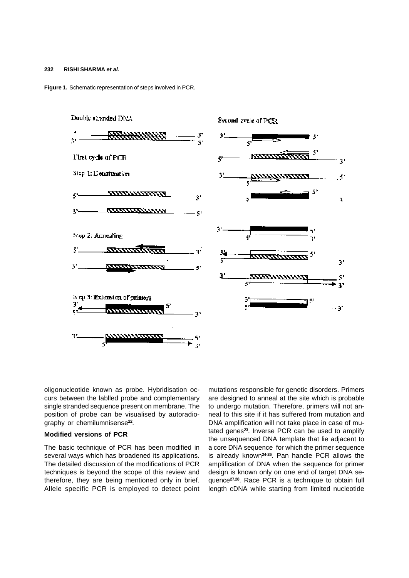**Figure 1.** Schematic representation of steps involved in PCR.



oligonucleotide known as probe. Hybridisation occurs between the lablled probe and complementary single stranded sequence present on membrane. The position of probe can be visualised by autoradiography or chemilumnisense**<sup>22</sup>** .

#### **Modified versions of PCR**

The basic technique of PCR has been modified in several ways which has broadened its applications. The detailed discussion of the modifications of PCR techniques is beyond the scope of this review and therefore, they are being mentioned only in brief. Allele specific PCR is employed to detect point mutations responsible for genetic disorders. Primers are designed to anneal at the site which is probable to undergo mutation. Therefore, primers will not anneal to this site if it has suffered from mutation and DNA amplification will not take place in case of mutated genes**<sup>23</sup>**. Inverse PCR can be used to amplify the unsequenced DNA template that lie adjacent to a core DNA sequence for which the primer sequence is already known**24-26**. Pan handle PCR allows the amplification of DNA when the sequence for primer design is known only on one end of target DNA sequence**27,28**. Race PCR is a technique to obtain full length cDNA while starting from limited nucleotide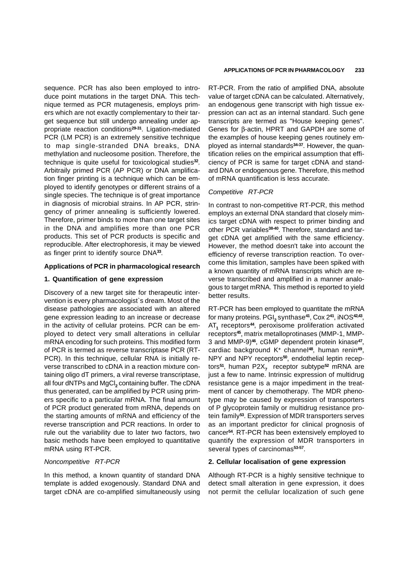sequence. PCR has also been employed to introduce point mutations in the target DNA. This technique termed as PCR mutagenesis, employs primers which are not exactly complementary to their target sequence but still undergo annealing under appropriate reaction conditions**29-31**. Ligation-mediated PCR (LM PCR) is an extremely sensitive technique to map single-stranded DNA breaks, DNA methylation and nucleosome position. Therefore, the technique is quite useful for toxicological studies**<sup>32</sup>** . Arbitraily primed PCR (AP PCR) or DNA amplification finger printing is a technique which can be employed to identify genotypes or different strains of a single species. The technique is of great importance in diagnosis of microbial strains. In AP PCR, stringency of primer annealing is sufficiently lowered. Therefore, primer binds to more than one target sites in the DNA and amplifies more than one PCR products. This set of PCR products is specific and reproducible. After electrophoresis, it may be viewed as finger print to identify source DNA**<sup>33</sup>** .

### **Applications of PCR in pharmacological research**

#### **1. Quantification of gene expression**

Discovery of a new target site for therapeutic intervention is every pharmacologist`s dream. Most of the disease pathologies are associated with an altered gene expression leading to an increase or decrease in the activity of cellular proteins. PCR can be employed to detect very small alterations in cellular mRNA encoding for such proteins. This modified form of PCR is termed as reverse transcriptase PCR (RT-PCR). In this technique, cellular RNA is initially reverse transcribed to cDNA in a reaction mixture containing oligo dT primers, a viral reverse transcriptase, all four dNTPs and MgCl<sub>2</sub> containing buffer. The cDNA thus generated, can be amplified by PCR using primers specific to a particular mRNA. The final amount of PCR product generated from mRNA, depends on the starting amounts of mRNA and efficiency of the reverse transcription and PCR reactions. In order to rule out the variability due to later two factors, two basic methods have been employed to quantitative mRNA using RT-PCR.

#### *Noncompetitive RT-PCR*

In this method, a known quantity of standard DNA template is added exogenously. Standard DNA and target cDNA are co-amplified simultaneously using

#### **APPLICATIONS OF PCR IN PHARMACOLOGY 233**

RT-PCR. From the ratio of amplified DNA, absolute value of target cDNA can be calculated. Alternatively, an endogenous gene transcript with high tissue expression can act as an internal standard. Such gene transcripts are termed as "House keeping genes". Genes for β-actin, HPRT and GAPDH are some of the examples of house keeping genes routinely employed as internal standards**34-37**. However, the quantification relies on the empirical assumption that efficiency of PCR is same for target cDNA and standard DNA or endogenous gene. Therefore, this method of mRNA quantification is less accurate.

#### *Competitive RT-PCR*

In contrast to non-competitive RT-PCR, this method employs an external DNA standard that closely mimics target cDNA with respect to primer binding and other PCR variables**38-40**. Therefore, standard and target cDNA get amplified with the same efficiency. However, the method doesn't take into account the efficiency of reverse transcription reaction. To overcome this limitation, samples have been spiked with a known quantity of mRNA transcripts which are reverse transcribed and amplified in a manner analogous to target mRNA. This method is reported to yield better results.

RT-PCR has been employed to quantitate the mRNA for many proteins. PGI**<sup>2</sup>** synthase**<sup>41</sup>**, Cox 2**<sup>41</sup>**, iNOS**42,43** , AT**<sup>1</sup>** receptors**<sup>44</sup>**, peroxisome proliferation activated receptors**45**, matrix metalloprotinases (MMP-1, MMP-3 and MMP-9)**<sup>46</sup>**, cGMP dependent protein kinase**<sup>47</sup>** , cardiac background K**<sup>+</sup>** channel**<sup>48</sup>**, human renin**<sup>49</sup>** , NPY and NPY receptors**50**, endothelial leptin receptors**<sup>51</sup>**, human P2X**<sup>7</sup>** receptor subtype**<sup>52</sup>** mRNA are just a few to name. Intrinsic expression of multidrug resistance gene is a major impediment in the treatment of cancer by chemotherapy. The MDR phenotype may be caused by expression of transporters of P glycoprotein family or multidrug resistance protein family**<sup>53</sup>**. Expression of MDR transporters serves as an important predictor for clinical prognosis of cancer**<sup>54</sup>**. RT-PCR has been extensively employed to quantify the expression of MDR transporters in several types of carcinomas**53-57** .

#### **2. Cellular localisation of gene expression**

Although RT-PCR is a highly sensitive technique to detect small alteration in gene expression, it does not permit the cellular localization of such gene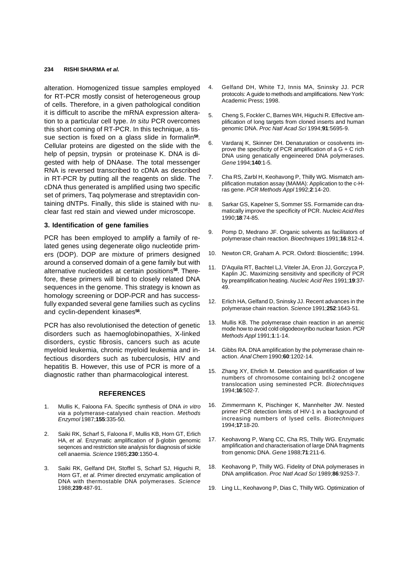alteration. Homogenized tissue samples employed for RT-PCR mostly consist of heterogeneous group of cells. Therefore, in a given pathological condition it is difficult to ascribe the mRNA expression alteration to a particular cell type. *In situ* PCR overcomes this short coming of RT-PCR. In this technique, a tissue section is fixed on a glass slide in formalin**<sup>58</sup>** . Cellular proteins are digested on the slide with the help of pepsin, trypsin or proteinase K. DNA is digested with help of DNAase. The total messenger RNA is reversed transcribed to cDNA as described in RT-PCR by putting all the reagents on slide. The cDNA thus generated is amplified using two specific set of primers, Taq polymerase and streptavidin containing dNTPs. Finally, this slide is stained with nuclear fast red stain and viewed under microscope.

#### **3. Identification of gene families**

PCR has been employed to amplify a family of related genes using degenerate oligo nucleotide primers (DOP). DOP are mixture of primers designed around a conserved domain of a gene family but with alternative nucleotides at certain positions**58**. Therefore, these primers will bind to closely related DNA sequences in the genome. This strategy is known as homology screening or DOP-PCR and has successfully expanded several gene families such as cyclins and cyclin-dependent kinases**<sup>58</sup>** .

PCR has also revolutionised the detection of genetic disorders such as haemoglobinopathies, X-linked disorders, cystic fibrosis, cancers such as acute myeloid leukemia, chronic myeloid leukemia and infectious disorders such as tuberculosis, HIV and hepatitis B. However, this use of PCR is more of a diagnostic rather than pharmacological interest.

#### **REFERENCES**

- 1. Mullis K, Faloona FA. Specific synthesis of DNA *in vitro via* a polymerase-catalysed chain reaction. *Methods Enzymol* 1987;**155**:335-50.
- 2. Saiki RK, Scharf S, Faloona F, Mullis KB, Horn GT, Erlich HA, *et al*. Enzymatic amplification of β-globin genomic seqences and restriction site analysis for diagnosis of sickle cell anaemia. *Science* 1985;**230**:1350-4.
- 3. Saiki RK, Gelfand DH, Stoffel S, Scharf SJ, Higuchi R, Horn GT, *et al*. Primer directed enzymatic amplication of DNA with thermostable DNA polymerases. *Science* 1988;**239**:487-91.
- 4. Gelfand DH, White TJ, Innis MA, Sninsky JJ. PCR protocols: A guide to methods and amplifications. New York: Academic Press; 1998.
- 5. Cheng S, Fockler C, Barnes WH, Higuchi R. Effective amplification of long targets from cloned inserts and human genomic DNA. *Proc Natl Acad Sci* 1994;**91**:5695-9.
- 6. Vardaraj K, Skinner DH. Denaturation or cosolvents improve the specificity of PCR amplification of a G + C rich DNA using genatically engeineered DNA polymerases. *Gene* 1994;**140**:1-5.
- 7. Cha RS, Zarbl H, Keohavong P, Thilly WG. Mismatch amplification mutation assay (MAMA): Application to the c-Hras gene. *PCR Methods Appl* 1992;**2**:14-20.
- 8. Sarkar GS, Kapelner S, Sommer SS. Formamide can dramatically improve the specificity of PCR. *Nucleic Acid Res* 1990;**18**:74-85.
- 9. Pomp D, Medrano JF. Organic solvents as facilitators of polymerase chain reaction. *Bioechniques* 1991;**16**:812-4.
- 10. Newton CR, Graham A. PCR. Oxford: Bioscientific; 1994.
- 11. D'Aquila RT, Bachtel LJ, Viteler JA, Eron JJ, Gorczyca P, Kaplin JC. Maximizing sensitivity and specificity of PCR by preamplification heating. *Nucleic Acid Res* 1991;**19**:37- 49.
- 12. Erlich HA, Gelfand D, Sninsky JJ. Recent advances in the polymerase chain reaction. *Science* 1991;**252**:1643-51.
- 13. Mullis KB. The polymerase chain reaction in an anemic mode how to avoid cold oligodeoxyribo nuclear fusion. *PCR Methods Appl* 1991;**1**:1-14.
- 14. Gibbs RA. DNA amplification by the polymerase chain reaction. *Anal Chem* 1990;**60**:1202-14.
- 15. Zhang XY, Ehrlich M. Detection and quantification of low numbers of chromosome containing bcl-2 oncogene translocation using seminested PCR. *Biotechniques* 1994;**16**:502-7.
- 16. Zimmermann K, Pischinger K, Mannhelter JW. Nested primer PCR detection limits of HIV-1 in a background of increasing numbers of lysed cells. *Biotechniques* 1994;**17**:18-20.
- 17. Keohavong P, Wang CC, Cha RS, Thilly WG. Enzymatic amplification and characterisation of large DNA fragments from genomic DNA. *Gene* 1988;**71**:211-6.
- 18. Keohavong P, Thilly WG. Fidelity of DNA polymerases in DNA amplification. *Proc Natl Acad Sci* 1989;**86**:9253-7.
- 19. Ling LL, Keohavong P, Dias C, Thilly WG. Optimization of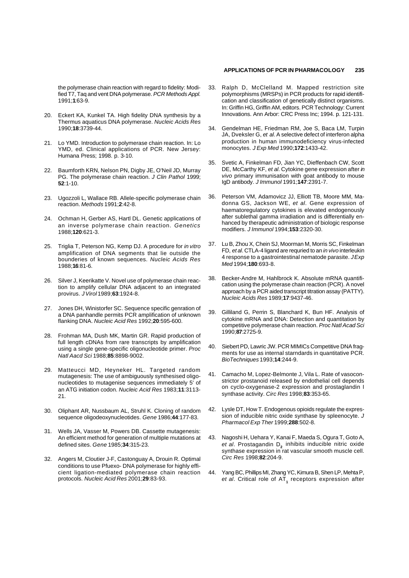the polymerase chain reaction with regard to fidelity: Modified T7, Taq and vent DNA polymerase. *PCR Methods Appl.* 1991;**1**:63-9.

- 20. Eckert KA, Kunkel TA. High fidelity DNA synthesis by a Thermus aquaticus DNA polymerase. *Nucleic Acids Res* 1990;**18**:3739-44.
- 21. Lo YMD. Introduction to polymerase chain reaction. In: Lo YMD, ed. Clinical applications of PCR. New Jersey: Humana Press; 1998. p. 3-10.
- 22. Baumforth KRN, Nelson PN, Digby JE, O'Neil JD, Murray PG. The polymerase chain reaction. *J Clin Pathol* 1999; **52**:1-10.
- 23. Ugozzoli L, Wallace RB. Allele-specific polymerase chain reaction. *Methods* 1991;**2**:42-8.
- 24. Ochman H, Gerber AS, Hartl DL. Genetic applications of an inverse polymerase chain reaction. *Genetics* 1988;**120**:621-3.
- 25. Triglia T, Peterson NG, Kemp DJ. A procedure for *in vitro* amplification of DNA segments that lie outside the bounderies of known sequences. *Nucleic Acids Res* 1988;**16**:81-6.
- 26. Silver J, Keerikatte V. Novel use of polymerase chain reaction to amplify cellular DNA adjacent to an integrated provirus. *J Virol* 1989;**63**:1924-8.
- 27. Jones DH, Winistorfer SC. Sequence specific genration of a DNA panhandle permits PCR amplification of unknown flanking DNA. *Nucleic Acid Res* 1992;**20**:595-600.
- 28. Frohman MA, Dush MK, Martin GR. Rapid production of full length cDNAs from rare transcripts by amplification using a single gene-specific oligonucleotide primer. *Proc Natl Aacd Sci* 1988;**85**:8898-9002.
- 29. Matteucci MD, Heyneker HL. Targeted random mutagenesis: The use of ambiguously synthesised oligonucleotides to mutagenise sequences immediately 5' of an ATG initiation codon. *Nucleic Acid Res* 1983;**11**:3113- 21.
- 30. Oliphant AR, Nussbaum AL, Struhl K. Cloning of random sequence oligodeoxynucleotides. *Gene* 1986;**44**:177-83.
- 31. Wells JA, Vasser M, Powers DB. Cassette mutagenesis: An efficient method for generation of multiple mutations at defined sites. *Gene* 1985;**34**:315-23.
- 32. Angers M, Cloutier J-F, Castonguay A, Drouin R. Optimal conditions to use Pfuexo- DNA polymerase for highly efficient ligation-mediated polymerase chain reaction protocols. *Nucleic Acid Res* 2001;**29**:83-93.

#### **APPLICATIONS OF PCR IN PHARMACOLOGY 235**

- 33. Ralph D, McClelland M. Mapped restriction site polymorphisms (MRSPs) in PCR products for rapid identification and classification of genetically distinct organisms. In: Griffin HG, Griffin AM, editors. PCR Technology: Current Innovations. Ann Arbor: CRC Press Inc; 1994. p. 121-131.
- 34. Gendelman HE, Friedman RM, Joe S, Baca LM, Turpin JA, Dveksler G, *et al*. A selective defect of interferon alpha production in human immunodeficiency virus-infected monocytes. *J Exp Med* 1990;**172**:1433-42.
- 35. Svetic A, Finkelman FD, Jian YC, Dieffenbach CW, Scott DE, McCarthy KF, *et al*. Cytokine gene expression after *in vivo* primary immunisation with goat antibody to mouse IgD antibody. *J Immunol* 1991;**147**:2391-7.
- 36. Peterson VM, Adamovicz JJ, Elliott TB, Moore MM, Madonna GS, Jackson WE, *et al*. Gene expression of haematoregulatory cytokines is elevated endogenously after sublethal gamma irradiation and is differentially enhanced by therapeutic administration of biologic response modifiers. *J Immunol* 1994;**153**:2320-30.
- 37. Lu B, Zhou X, Chein SJ, Moorman M, Morris SC, Finkelman FD, *et al*. CTLA-4 ligand are requried to an *in vivo* interleukin 4 response to a gastrointestinal nematode parasite. *J Exp Med* 1994;**180**:693-8.
- 38. Becker-Andre M, Hahlbrock K. Absolute mRNA quantification using the polymerase chain reaction (PCR). A novel approach by a PCR aided transcript titration assay (PATTY). *Nucleic Acids Res* 1989;**17**:9437-46.
- 39. Gilliland G, Perrin S, Blanchard K, Bun HF. Analysis of cytokine mRNA and DNA: Detection and quantitation by competitive polymerase chain reaction. *Proc Natl Acad Sci* 1990;**87**:2725-9.
- 40. Siebert PD, Lawric JW. PCR MIMICs Competitive DNA fragments for use as internal starndards in quantitative PCR. *BioTechniques* 1993;**14**:244-9.
- 41. Camacho M, Lopez-Belmonte J, Vila L. Rate of vasoconstrictor prostanoid released by endothelial cell depends on cyclo-oxygenase-2 expression and prostaglandin I synthase activity. *Circ Res* 1998;**83**:353-65.
- 42. Lysle DT, How T. Endogenous opioids regulate the expression of inducible nitric oxide synthase by spleenocyte. *J Pharmacol Exp Ther* 1999;**288**:502-8.
- 43. Nagoshi H, Uehara Y, Kanai F, Maeda S, Ogura T, Goto A, e*t al*. Prostagandin D<sub>2</sub> inhibits inducible nitric oxide synthase expression in rat vascular smooth muscle cell. *Circ Res* 1998;**82**:204-9.
- 44. Yang BC, Phillips MI, Zhang YC, Kimura B, Shen LP, Mehta P, e*t al*. Critical role of AT<sub>1</sub> receptors expression after